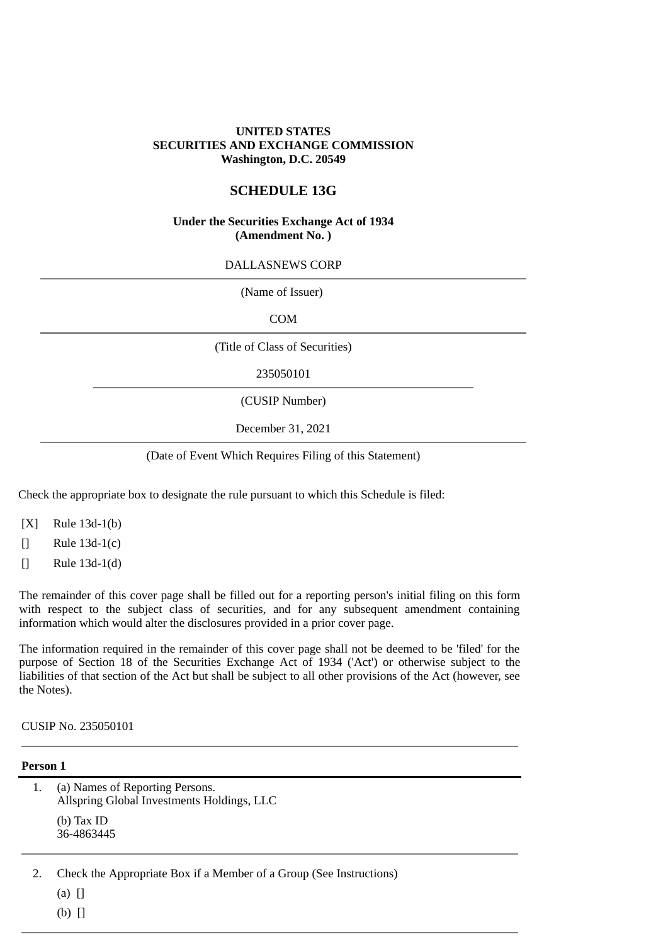#### **UNITED STATES SECURITIES AND EXCHANGE COMMISSION Washington, D.C. 20549**

## **SCHEDULE 13G**

#### **Under the Securities Exchange Act of 1934 (Amendment No. )**

DALLASNEWS CORP

| (Name of Issuer)               |  |
|--------------------------------|--|
| <b>COM</b>                     |  |
| (Title of Class of Securities) |  |
| 235050101                      |  |
| (CUSIP Number)                 |  |
| December 31, 2021              |  |

(Date of Event Which Requires Filing of this Statement)

Check the appropriate box to designate the rule pursuant to which this Schedule is filed:

- [X] Rule 13d-1(b)
- [] Rule 13d-1(c)
- [] Rule 13d-1(d)

The remainder of this cover page shall be filled out for a reporting person's initial filing on this form with respect to the subject class of securities, and for any subsequent amendment containing information which would alter the disclosures provided in a prior cover page.

The information required in the remainder of this cover page shall not be deemed to be 'filed' for the purpose of Section 18 of the Securities Exchange Act of 1934 ('Act') or otherwise subject to the liabilities of that section of the Act but shall be subject to all other provisions of the Act (however, see the Notes).

CUSIP No. 235050101

#### **Person 1**

| (a) Names of Reporting Persons.<br>Allspring Global Investments Holdings, LLC<br>$(b)$ Tax ID<br>36-4863445 |
|-------------------------------------------------------------------------------------------------------------|
| Check the Appropriate Box if a Member of a Group (See Instructions)                                         |

 $(a)$   $\Box$ 

(b) []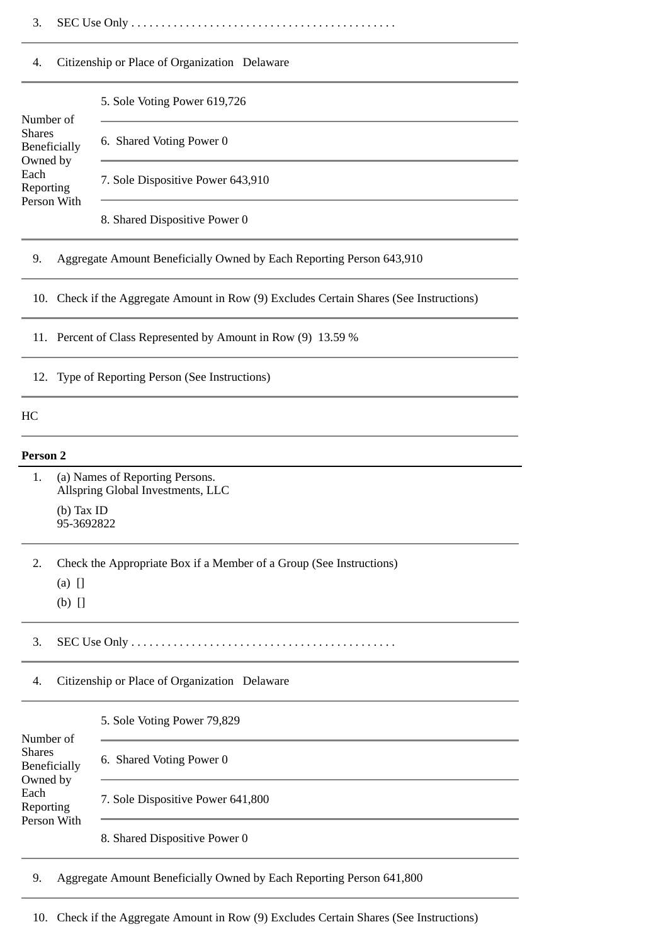3. SEC Use Only . . . . . . . . . . . . . . . . . . . . . . . . . . . . . . . . . . . . . . . . . . . .

#### 4. Citizenship or Place of Organization Delaware

| Number of                                    | 5. Sole Voting Power 619,726      |
|----------------------------------------------|-----------------------------------|
| <b>Shares</b><br>Beneficially                | 6. Shared Voting Power 0          |
| Owned by<br>Each<br>Reporting<br>Person With | 7. Sole Dispositive Power 643,910 |
|                                              |                                   |

8. Shared Dispositive Power 0

#### 9. Aggregate Amount Beneficially Owned by Each Reporting Person 643,910

10. Check if the Aggregate Amount in Row (9) Excludes Certain Shares (See Instructions)

11. Percent of Class Represented by Amount in Row (9) 13.59 %

12. Type of Reporting Person (See Instructions)

### HC

#### **Person 2**

1. (a) Names of Reporting Persons. Allspring Global Investments, LLC (b) Tax ID 95-3692822

2. Check the Appropriate Box if a Member of a Group (See Instructions)

- (a) []
- (b) []

3. SEC Use Only . . . . . . . . . . . . . . . . . . . . . . . . . . . . . . . . . . . . . . . . . . . .

4. Citizenship or Place of Organization Delaware

5. Sole Voting Power 79,829

| Number of           |                                   |
|---------------------|-----------------------------------|
| <b>Shares</b>       | 6. Shared Voting Power 0          |
| <b>Beneficially</b> |                                   |
| Owned by            |                                   |
| Each<br>Reporting   | 7. Sole Dispositive Power 641,800 |
| Person With         |                                   |
|                     | 8. Shared Dispositive Power 0     |

9. Aggregate Amount Beneficially Owned by Each Reporting Person 641,800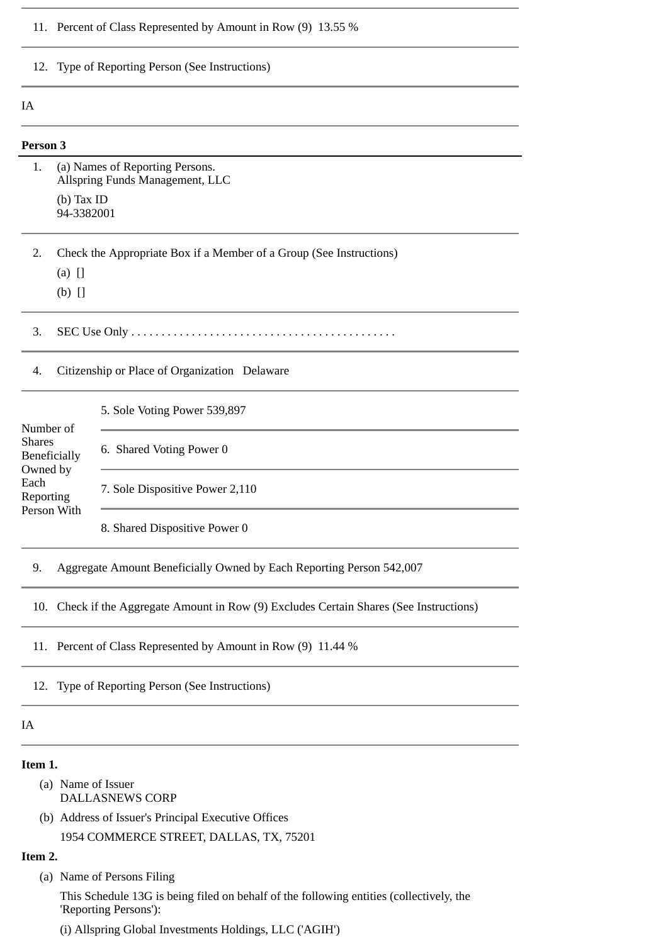|                                                                                    | 11. Percent of Class Represented by Amount in Row (9) 13.55 %        |                                                                                     |  |  |
|------------------------------------------------------------------------------------|----------------------------------------------------------------------|-------------------------------------------------------------------------------------|--|--|
|                                                                                    | 12. Type of Reporting Person (See Instructions)                      |                                                                                     |  |  |
| IA                                                                                 |                                                                      |                                                                                     |  |  |
| Person 3                                                                           |                                                                      |                                                                                     |  |  |
| 1.                                                                                 |                                                                      | (a) Names of Reporting Persons.<br>Allspring Funds Management, LLC                  |  |  |
|                                                                                    | $(b)$ Tax ID<br>94-3382001                                           |                                                                                     |  |  |
| 2.                                                                                 |                                                                      | Check the Appropriate Box if a Member of a Group (See Instructions)                 |  |  |
|                                                                                    | $(a)$ []<br>$(b)$ []                                                 |                                                                                     |  |  |
| 3.                                                                                 |                                                                      |                                                                                     |  |  |
| 4.                                                                                 | Citizenship or Place of Organization Delaware                        |                                                                                     |  |  |
| Number of<br><b>Shares</b><br><b>Beneficially</b><br>Owned by<br>Each<br>Reporting |                                                                      | 5. Sole Voting Power 539,897                                                        |  |  |
|                                                                                    |                                                                      | 6. Shared Voting Power 0                                                            |  |  |
|                                                                                    |                                                                      | 7. Sole Dispositive Power 2,110                                                     |  |  |
| Person With                                                                        |                                                                      | 8. Shared Dispositive Power 0                                                       |  |  |
| 9.                                                                                 | Aggregate Amount Beneficially Owned by Each Reporting Person 542,007 |                                                                                     |  |  |
| 10.                                                                                |                                                                      | Check if the Aggregate Amount in Row (9) Excludes Certain Shares (See Instructions) |  |  |
|                                                                                    | 11. Percent of Class Represented by Amount in Row (9) 11.44 %        |                                                                                     |  |  |
| 12.                                                                                | Type of Reporting Person (See Instructions)                          |                                                                                     |  |  |
| IA                                                                                 |                                                                      |                                                                                     |  |  |
|                                                                                    |                                                                      |                                                                                     |  |  |

#### **Item 1.**

- (a) Name of Issuer DALLASNEWS CORP
- (b) Address of Issuer's Principal Executive Offices

1954 COMMERCE STREET, DALLAS, TX, 75201

# **Item 2.**

(a) Name of Persons Filing

This Schedule 13G is being filed on behalf of the following entities (collectively, the 'Reporting Persons'):

(i) Allspring Global Investments Holdings, LLC ('AGIH')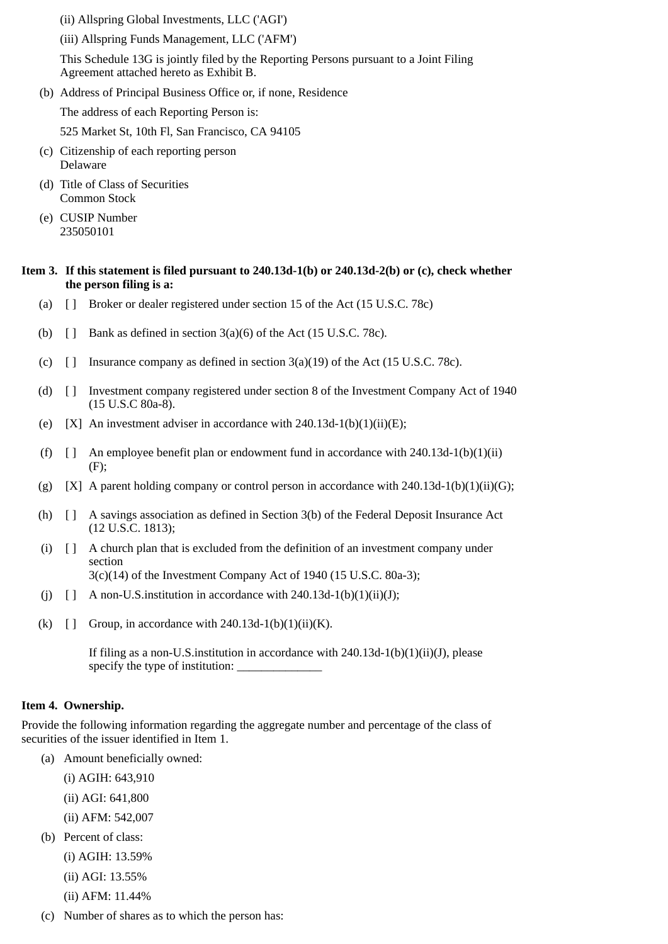(ii) Allspring Global Investments, LLC ('AGI')

(iii) Allspring Funds Management, LLC ('AFM')

This Schedule 13G is jointly filed by the Reporting Persons pursuant to a Joint Filing Agreement attached hereto as Exhibit B.

- (b) Address of Principal Business Office or, if none, Residence The address of each Reporting Person is: 525 Market St, 10th Fl, San Francisco, CA 94105
- (c) Citizenship of each reporting person Delaware
- (d) Title of Class of Securities Common Stock
- (e) CUSIP Number 235050101

# **Item 3. If this statement is filed pursuant to 240.13d-1(b) or 240.13d-2(b) or (c), check whether the person filing is a:**

- (a) [ ] Broker or dealer registered under section 15 of the Act (15 U.S.C. 78c)
- (b)  $\Box$  Bank as defined in section 3(a)(6) of the Act (15 U.S.C. 78c).
- (c)  $\lceil \cdot \rceil$  Insurance company as defined in section 3(a)(19) of the Act (15 U.S.C. 78c).
- (d) [ ] Investment company registered under section 8 of the Investment Company Act of 1940 (15 U.S.C 80a-8).
- (e)  $[X]$  An investment adviser in accordance with 240.13d-1(b)(1)(ii)(E);
- (f)  $\left[ \right]$  An employee benefit plan or endowment fund in accordance with 240.13d-1(b)(1)(ii) (F);
- (g)  $[X]$  A parent holding company or control person in accordance with 240.13d-1(b)(1)(ii)(G);
- (h) [ ] A savings association as defined in Section 3(b) of the Federal Deposit Insurance Act (12 U.S.C. 1813);
- (i) [ ] A church plan that is excluded from the definition of an investment company under section 3(c)(14) of the Investment Company Act of 1940 (15 U.S.C. 80a-3);
- (j)  $\left[\right]$  A non-U.S. institution in accordance with 240.13d-1(b)(1)(ii)(J);
- (k)  $\left[\right]$  Group, in accordance with 240.13d-1(b)(1)(ii)(K).

If filing as a non-U.S. institution in accordance with  $240.13d-1(b)(1)(ii)(J)$ , please specify the type of institution:

# **Item 4. Ownership.**

Provide the following information regarding the aggregate number and percentage of the class of securities of the issuer identified in Item 1.

- (a) Amount beneficially owned:
	- (i) AGIH: 643,910
	- (ii) AGI: 641,800
	- (ii) AFM: 542,007
- (b) Percent of class:
	- (i) AGIH: 13.59%
	- (ii) AGI: 13.55%
	- (ii) AFM: 11.44%
- (c) Number of shares as to which the person has: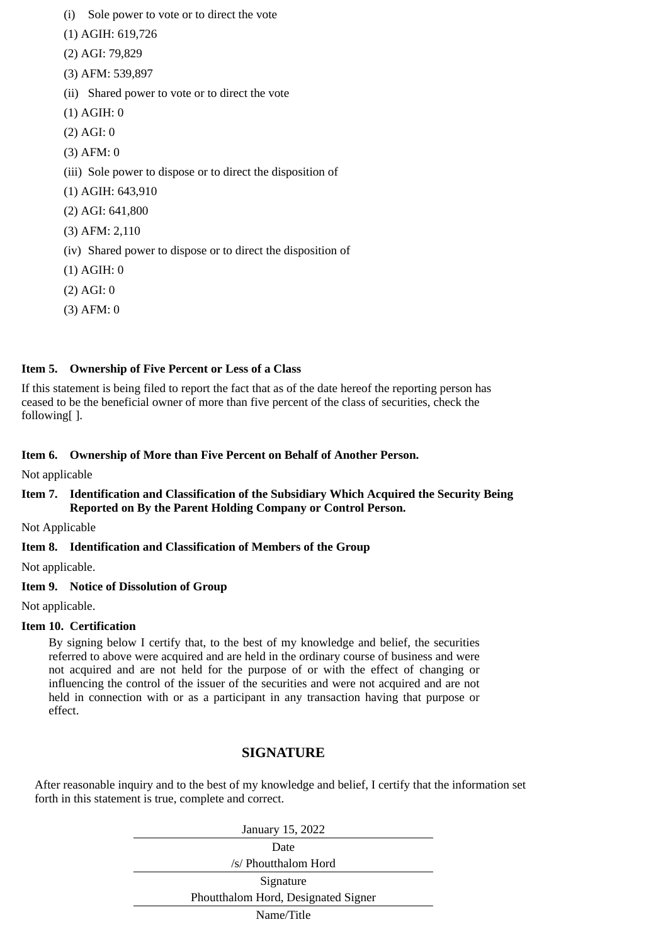- (i) Sole power to vote or to direct the vote
- (1) AGIH: 619,726
- (2) AGI: 79,829
- (3) AFM: 539,897
- (ii) Shared power to vote or to direct the vote
- (1) AGIH: 0
- (2) AGI: 0
- (3) AFM: 0
- (iii) Sole power to dispose or to direct the disposition of
- (1) AGIH: 643,910
- (2) AGI: 641,800
- (3) AFM: 2,110
- (iv) Shared power to dispose or to direct the disposition of
- (1) AGIH: 0
- (2) AGI: 0
- (3) AFM: 0

# **Item 5. Ownership of Five Percent or Less of a Class**

If this statement is being filed to report the fact that as of the date hereof the reporting person has ceased to be the beneficial owner of more than five percent of the class of securities, check the following[ ].

# **Item 6. Ownership of More than Five Percent on Behalf of Another Person.**

Not applicable

## **Item 7. Identification and Classification of the Subsidiary Which Acquired the Security Being Reported on By the Parent Holding Company or Control Person.**

Not Applicable

# **Item 8. Identification and Classification of Members of the Group**

Not applicable.

# **Item 9. Notice of Dissolution of Group**

Not applicable.

### **Item 10. Certification**

By signing below I certify that, to the best of my knowledge and belief, the securities referred to above were acquired and are held in the ordinary course of business and were not acquired and are not held for the purpose of or with the effect of changing or influencing the control of the issuer of the securities and were not acquired and are not held in connection with or as a participant in any transaction having that purpose or effect.

# **SIGNATURE**

After reasonable inquiry and to the best of my knowledge and belief, I certify that the information set forth in this statement is true, complete and correct.

| January 15, 2022                    |  |  |
|-------------------------------------|--|--|
| Date                                |  |  |
| /s/ Phoutthalom Hord                |  |  |
| Signature                           |  |  |
| Phoutthalom Hord, Designated Signer |  |  |
| Name/Title                          |  |  |